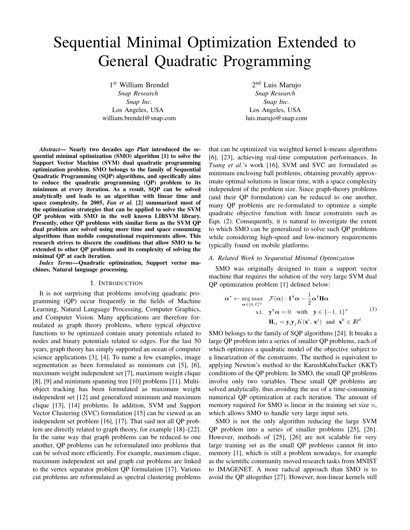# Sequential Minimal Optimization Extended to General Quadratic Programming

1 st William Brendel *Snap Research Snap Inc.* Los Angeles, USA william.brendel@snap.com

2<sup>nd</sup> Luis Marujo *Snap Research Snap Inc.* Los Angeles, USA luis.marujo@snap.com

*Abstract*— Nearly two decades ago *Platt* introduced the sequential minimal optimization (SMO) algorithm [1] to solve the Support Vector Machine (SVM) dual quadratic programming optimization problem. SMO belongs to the family of Sequential Quadratic Programming (SQP) algorithms, and specifically aims to reduce the quadratic programming (QP) problem to its minimum at every iteration. As a result, SQP can be solved analytically and leads to an algorithm with linear time and space complexity. In 2005, *Fan et al.* [2] summarized most of the optimization strategies that can be applied to solve the SVM QP problem with SMO in the well known LIBSVM library. Presently, other QP problems with similar form as the SVM QP dual problem are solved using more time and space consuming algorithms than mobile computational requirements allow. This research strives to discern the conditions that allow SMO to be extended to other QP problems and its complexity of solving the minimal QP at each iteration.

*Index Terms*—Quadratic optimization, Support vector machines, Natural language processing.

#### I. INTRODUCTION

It is not surprising that problems involving quadratic programming (QP) occur frequently in the fields of Machine Learning, Natural Language Processing, Computer Graphics, and Computer Vision. Many applications are therefore formulated as graph theory problems, where typical objective functions to be optimized contain unary potentials related to nodes and binary potentials related to edges. For the last 50 years, graph theory has simply supported an ocean of computer science applications [3], [4]. To name a few examples, image segmentation as been formulated as minimum cut [5], [6], maximum weight independent set [7], maximum weight clique [8], [9] and minimum spanning tree [10] problems [11]. Multiobject tracking has been formulated as maximum weight independent set [12] and generalized minimum and maximum clique [13], [14] problems. In addition, SVM and Support Vector Clustering (SVC) formulation [15] can be viewed as an independent set problem [16], [17]. That said not all QP problem are directly related to graph theory, for example [18]–[22]. In the same way that graph problems can be reduced to one another, QP problems can be reformulated into problems that can be solved more efficiently. For example, maximum clique, maximum independent set and graph cut problems are linked to the vertex separator problem QP formulation [17]. Various cut problems are reformulated as spectral clustering problems that can be optimized via weighted kernel k-means algorithms [6], [23], achieving real-time computation performances. In *Tsang et al.*'s work [16], SVM and SVC are formulated as minimum enclosing ball problems, obtaining provably approximate optimal solutions in linear time, with a space complexity independent of the problem size. Since graph-theory problems (and their QP formulation) can be reduced to one another, many QP problems are re-formulated to optimize a simple quadratic objective function with linear constraints such as Eqn. (2). Consequently, it is natural to investigate the extent to which SMO can be generalized to solve such QP problems while considering high-speed and low-memory requirements typically found on mobile platforms.

## *A. Related Work to Sequential Minimal Optimization*

SMO was originally designed to train a support vector machine that requires the solution of the very large SVM dual QP optimization problem [1] defined below:

$$
\boldsymbol{\alpha}^* \leftarrow \underset{\boldsymbol{\alpha} \in [0, C]^n}{\arg \max} \quad \mathcal{F}(\boldsymbol{\alpha}) : \mathbf{1}^\mathsf{T} \boldsymbol{\alpha} - \frac{1}{2} \boldsymbol{\alpha}^\mathsf{T} \mathbf{H} \boldsymbol{\alpha}
$$
  
s.t. 
$$
\mathbf{y}^\mathsf{T} \boldsymbol{\alpha} = 0 \quad \text{with} \quad \mathbf{y} \in \{-1, 1\}^n \tag{1}
$$

$$
\mathbf{H}_{ij} = \mathbf{y}_i \mathbf{y}_j K(\mathbf{x}^i, \mathbf{x}^j) \quad \text{and} \quad \mathbf{x}^k \in \mathbb{R}^d
$$

SMO belongs to the family of SQP algorithms [24]. It breaks a large QP problem into a series of smaller QP problems, each of which optimizes a quadratic model of the objective subject to a linearization of the constraints. The method is equivalent to applying Newton's method to the KarushKuhnTucker (KKT) conditions of the QP problem. In SMO, the small QP problems involve only two variables. These small QP problems are solved analytically, thus avoiding the use of a time-consuming numerical QP optimization at each iteration. The amount of memory required for SMO is linear in the training set size  $n$ , which allows SMO to handle very large input sets.

SMO is not the only algorithm reducing the large SVM QP problem into a series of smaller problems [25], [26]. However, methods of [25], [26] are not scalable for very large training set as the small QP problems cannot fit into memory [1], which is still a problem nowadays, for example as the scientific community moved research tasks from MNIST to IMAGENET. A more radical approach than SMO is to avoid the QP altogether [27]. However, non-linear kernels still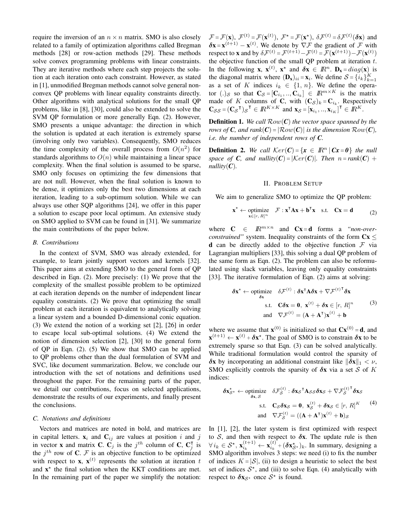require the inversion of an  $n \times n$  matrix. SMO is also closely related to a family of optimization algorithms called Bregman methods [28] or row-action methods [29]. These methods solve convex programming problems with linear constraints. They are iterative methods where each step projects the solution at each iteration onto each constraint. However, as stated in [1], unmodified Bregman methods cannot solve general nonconvex QP problems with linear equality constraints directly. Other algorithms with analytical solutions for the small QP problems, like in [8], [30], could also be extended to solve the SVM QP formulation or more generally Eqn. (2). However, SMO presents a unique advantage: the direction in which the solution is updated at each iteration is extremely sparse (involving only two variables). Consequently, SMO reduces the time complexity of the overall process from  $O(n^2)$  for standards algorithms to  $O(n)$  while maintaining a linear space complexity. When the final solution is assumed to be sparse, SMO only focuses on optimizing the few dimensions that are not null. However, when the final solution is known to be dense, it optimizes only the best two dimensions at each iteration, leading to a sub-optimum solution. While we can always use other SQP algorithms [24], we offer in this paper a solution to escape poor local optimum. An extensive study on SMO applied to SVM can be found in [31]. We summarize the main contributions of the paper below.

## *B. Contributions*

In the context of SVM, SMO was already extended, for example, to learn jointly support vectors and kernels [32]. This paper aims at extending SMO to the general form of QP described in Eqn. (2). More precisely: (1) We prove that the complexity of the smallest possible problem to be optimized at each iteration depends on the number of independent linear equality constraints. (2) We prove that optimizing the small problem at each iteration is equivalent to analytically solving a linear system and a bounded D-dimensional conic equation. (3) We extend the notion of a working set [2], [26] in order to escape local sub-optimal solutions. (4) We extend the notion of dimension selection [2], [30] to the general form of QP in Eqn. (2). (5) We show that SMO can be applied to QP problems other than the dual formulation of SVM and SVC, like document summarization. Below, we conclude our introduction with the set of notations and definitions used throughout the paper. For the remaining parts of the paper, we detail our contributions, focus on selected applications, demonstrate the results of our experiments, and finally present the conclusions.

# *C. Notations and definitions*

Vectors and matrices are noted in bold, and matrices are in capital letters.  $x_i$  and  $C_{ij}$  are values at position i and j in vector **x** and matrix **C**.  $C_j$  is the j<sup>th</sup> column of **C**,  $C_j$  $\frac{1}{j}$  is the  $j<sup>th</sup>$  row of C. F is an objective function to be optimized with respect to **x**,  $\mathbf{x}^{(t)}$  represents the solution at iteration t and  $x^*$  the final solution when the KKT conditions are met. In the remaining part of the paper we simplify the notation:  $\mathcal{F} = \mathcal{F}(\mathbf{x}), \ \mathcal{F}^{(t)} = \mathcal{F}(\mathbf{x}^{(t)}), \ \mathcal{F}^* = \mathcal{F}(\mathbf{x}^*), \ \delta \mathcal{F}^{(t)} = \delta \mathcal{F}^{(t)}(\delta \mathbf{x})$  and  $\delta x = x^{(t+1)} - x^{(t)}$ . We denote by  $\nabla \mathcal{F}$  the gradient of  $\mathcal{F}$  with respect to **x** and by  $\delta \mathcal{F}^{(t)} = \mathcal{F}^{(t+1)} - \mathcal{F}^{(t)} = \mathcal{F}(\mathbf{x}^{(t+1)}) - \mathcal{F}(\mathbf{x}^{(t)})$ the objective function of the small QP problem at iteration  $t$ . In the following **x**,  $\mathbf{x}^{(t)}$ ,  $\mathbf{x}^*$  and  $\delta \mathbf{x} \in \mathbb{R}^n$ .  $\mathbf{D}_{\mathbf{x}} = diag(\mathbf{x})$  is the diagonal matrix where  $(D_x)_{ii} = x_i$ . We define  $S = \{i_k\}_{k=1}^K$ as a set of K indices  $i_k \in \{1, n\}$ . We define the operator  $(.)_{\mathcal{S}}$  so that  $\mathbf{C}_{\mathcal{S}} = [\mathbf{C}_{i_1},...,\mathbf{C}_{i_k}] \in \mathbb{R}^{m \times K}$  is the matrix made of K columns of C, with  $(C_{\mathcal{S}})_k = C_{i_k}$ . Respectively  $\mathbf{C}_{\mathcal{S}\mathcal{S}} = (\mathbf{C}_{\mathcal{S}}^\mathsf{T})_{\mathcal{S}}^\mathsf{T} \in I\!\!R^{K \times K}$  and  $\mathbf{x}_{\mathcal{S}} = [\mathbf{x}_{i_1}, \dots, \mathbf{x}_{i_K}]^\mathsf{T} \in I\!\!R^K$ .

Definition 1. *We call* Row(*C*) *the vector space spanned by the rows of C, and rank*(*C*) =  $\vert \mathcal{Row}(C) \vert$  *is the dimension*  $Row(C)$ *, i.e. the number of independent rows of C.*

**Definition 2.** We call  $Ker(C) = \{x \in \mathbb{R}^n | Cx = 0\}$  the null *space of C, and nullity*(*C*) =  $|\text{Ker}(C)|$ *. Then*  $n = \text{rank}(C)$  + *nullity* $(C)$ *.* 

#### II. PROBLEM SETUP

We aim to generalize SMO to optimize the QP problem:

$$
\mathbf{x}^{\star} \leftarrow \underset{\mathbf{x} \in [r, R]^n}{\text{optimize}} \quad \mathcal{F} : \mathbf{x}^{\mathsf{T}} \mathbf{A} \mathbf{x} + \mathbf{b}^{\mathsf{T}} \mathbf{x} \quad \text{s.t.} \quad \mathbf{C} \mathbf{x} = \mathbf{d} \tag{2}
$$

where  $C \in \mathbb{R}^{m \times n}$  and  $Cx = d$  forms a *"non-overconstrained"* system. Inequality constraints of the form  $Cx \leq$ **d** can be directly added to the objective function  $\mathcal F$  via Lagrangian multipliers [33], this solving a dual QP problem of the same form as Eqn. (2). The problem can also be reformulated using slack variables, leaving only equality constraints [33]. The iterative formulation of Eqn. (2) aims at solving:

$$
\delta \mathbf{x}^* \leftarrow \text{ optimize} \quad \delta \mathcal{F}^{(t)} : \delta \mathbf{x}^\mathsf{T} \mathbf{A} \delta \mathbf{x} + \nabla \mathcal{F}^{(t)\mathsf{T}} \delta \mathbf{x}
$$
\ns.t.  $\mathbf{C} \delta \mathbf{x} = \mathbf{0}, \ \mathbf{x}^{(t)} + \delta \mathbf{x} \in [r, R]^n$   
\nand  $\nabla \mathcal{F}^{(t)} = (\mathbf{A} + \mathbf{A}^\mathsf{T}) \mathbf{x}^{(t)} + \mathbf{b}$  (3)

where we assume that  $\mathbf{x}^{(0)}$  is initialized so that  $\mathbf{C}\mathbf{x}^{(0)} = \mathbf{d}$ , and  $\mathbf{x}^{(t+1)} \leftarrow \mathbf{x}^{(t)} + \delta \mathbf{x}^*$ . The goal of SMO is to constrain  $\delta \mathbf{x}$  to be extremely sparse so that Eqn. (3) can be solved analytically. While traditional formulation would control the sparsity of  $\delta x$  by incorporating an additional constraint like  $\|\delta x\|_1 < \nu$ , SMO explicitly controls the sparsity of  $\delta x$  via a set S of K indices:

$$
\delta \mathbf{x}_{\mathcal{S}^*}^* \leftarrow \text{ optimize} \quad \delta \mathcal{F}_{\mathcal{S}}^{(t)} : \delta \mathbf{x}_{\mathcal{S}}^\top \mathbf{A}_{\mathcal{S}\mathcal{S}} \delta \mathbf{x}_{\mathcal{S}} + \nabla \mathcal{F}_{\mathcal{S}}^{(t) \top} \delta \mathbf{x}_{\mathcal{S}}
$$
\n
$$
\text{s.t.} \quad \mathbf{C}_{\mathcal{S}} \delta \mathbf{x}_{\mathcal{S}} = \mathbf{0}, \ \mathbf{x}_{\mathcal{S}}^{(t)} + \delta \mathbf{x}_{\mathcal{S}} \in [r, R]^K \tag{4}
$$
\n
$$
\text{and} \quad \nabla \mathcal{F}_{\mathcal{S}}^{(t)} = ((\mathbf{A} + \mathbf{A}^\top) \mathbf{x}^{(t)} + \mathbf{b})_{\mathcal{S}}
$$

In [1], [2], the later system is first optimized with respect to S, and then with respect to  $\delta x$ . The update rule is then  $\forall i_k \in S^{\star}, \mathbf{x}_{i_k}^{(t+1)} \leftarrow \mathbf{x}_{i_k}^{(t)} + (\boldsymbol{\delta} \mathbf{x}_{\mathcal{S}^{\star}}^{\star})_k$ . In summary, designing a SMO algorithm involves 3 steps: we need (i) to fix the number of indices  $K = |\mathcal{S}|$ , (ii) to design a heuristic to select the best set of indices  $S^*$ , and (iii) to solve Eqn. (4) analytically with respect to  $\delta x_{\mathcal{S}^*}$  once  $\mathcal{S}^*$  is found.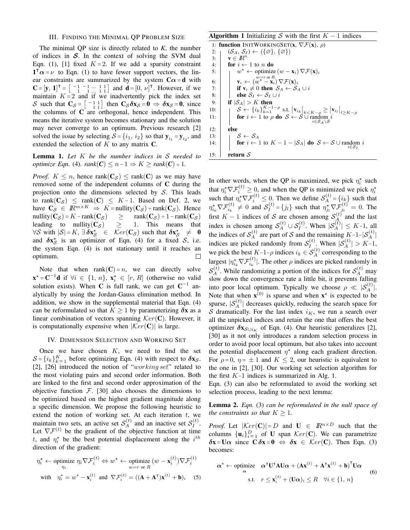## III. FINDING THE MINIMAL QP PROBLEM SIZE

The minimal QP size is directly related to *K*, the number of indices in  $S$ . In the context of solving the SVM dual Eqn. (1), [1] fixed  $K = 2$ . If we add a sparsity constraint  $1^{\mathsf{T}} \alpha = \nu$  to Eqn. (1) to have fewer support vectors, the linear constraints are summarized by the system  $C\alpha = d$  with  $C = [y, 1]^T = \begin{bmatrix} -1 & -1 & \cdots & 1 & 1 \\ 1 & 1 & \cdots & 1 & 1 \end{bmatrix}$  and  $d = [0, \nu]^T$ . However, if we maintain  $K = 2$  and if we inadvertently pick the index set S such that  $C_S = \begin{bmatrix} -1 & 1 \\ 1 & 1 \end{bmatrix}$  then  $C_S \delta x_S = 0 \Rightarrow \delta x_S = 0$ , since the columns of  $C$  are orthogonal, hence independent. This means the iterative system becomes stationary and the solution may never converge to an optimum. Previous research [2] solved the issue by selecting  $S = \{i_1, i_2\}$  so that  $y_{i_1} = y_{i_2}$ , and extended the selection of  $K$  to any matrix  $C$ .

Lemma 1. *Let* K *be the number indices in* S *needed to optimize Eqn.* (4)*.*  $rank(C) \leq n-1 \Rightarrow K \geq rank(C) + 1$ .

*Proof.*  $K \leq n$ , hence rank $(C_{\mathcal{S}}) \leq \text{rank}(C)$  as we may have removed some of the independent columns of C during the projection onto the dimensions selected by  $S$ . This leads to rank $(C_S) \le$  rank $(C) \leq K-1$ . Based on Def. 2, we have  $C_S \in \mathbb{R}^{m \times K} \Rightarrow K = \text{nullity}(C_S) + \text{rank}(C_S)$ . Hence nullity( $C_S$ ) = K – rank( $C_S$ ) ≥ rank( $C_S$ ) + 1 – rank( $C_S$ ) leading to nullity( $C_S$ )  $\geq$  1. This means that  $\forall S$  with  $|S| = K$ ,  $\exists \delta \mathbf{x}_{S}^{\star} \in \mathcal{K}er(\mathbf{C}_{S})$  such that  $\delta \mathbf{x}_{S}^{\star} \neq \mathbf{0}$ and  $\delta x_{\mathcal{S}}^*$  is an optimizer of Eqn. (4) for a fixed  $\mathcal{S}$ , i.e. the system Eqn. (4) is not stationary until it reaches an optimum.  $\Box$ 

Note that when rank $(C) = n$ , we can directly solve  $\mathbf{x}^* = \mathbf{C}^{-1} \mathbf{d}$  if  $\forall i \in \{1, n\}, \mathbf{x}_i^* \in [r, R]$  (otherwise no valid solution exists). When C is full rank, we can get  $C^{-1}$  analytically by using the Jordan-Gauss elimination method. In addition, we show in the supplemental material that Eqn. (4) can be reformulated so that  $K > 1$  by parameterizing  $\delta x$  as a linear combination of vectors spanning  $Ker(C)$ . However, it is computationally expensive when  $|\mathcal{K}er(\mathbf{C})|$  is large.

#### IV. DIMENSION SELECTION AND WORKING SET

Once we have chosen  $K$ , we need to find the set  $S = \{i_k\}_{k=1}^K$  before optimizing Eqn. (4) with respect to  $\delta x_S$ . [2], [26] introduced the notion of "working set" related to the most violating pairs and second order information. Both are linked to the first and second order approximation of the objective function  $\mathcal{F}$ . [30] also chooses the dimensions to be optimized based on the highest gradient magnitude along a specific dimension. We propose the following heuristic to extend the notion of working set. At each iteration  $t$ , we maintain two sets, an active set  $S_A^{(t)}$  and an inactive set  $S_I^{(t)}$  $I^{(\iota)}$ . Let  $\nabla \mathcal{F}^{(t)}$  be the gradient of the objective function at time t, and  $\eta_i^*$  be the best potential displacement along the  $i^{th}$ direction of the gradient:

$$
\eta_i^{\star} \leftarrow \underset{\eta_i}{\text{ optimize}} \ \eta_i \nabla \mathcal{F}_i^{(t)} \Leftrightarrow w^{\star} \leftarrow \underset{w=r \text{ or } R}{\text{ optimize}} (w - \mathbf{x}_i^{(t)}) \nabla \mathcal{F}_i^{(t)}
$$
\n
$$
\text{with} \quad \eta_i^{\star} = w^{\star} - \mathbf{x}_i^{(t)} \ \text{and} \ \nabla \mathcal{F}_i^{(t)} = ((\mathbf{A} + \mathbf{A}^{\mathsf{T}})\mathbf{x}^{(t)} + \mathbf{b})_i \tag{5}
$$

# Algorithm 1 Initializing S with the first  $K - 1$  indices

1: function INITWORKINGSET(x,  $\nabla \mathcal{F}(\mathbf{x})$ ,  $\rho$ )<br>2:  $(\mathcal{S}_A, \mathcal{S}_I) \leftarrow (\{\emptyset\}, \{\emptyset\})$ 2:  $\begin{cases} (\mathcal{S}_A, \mathcal{S}_I) \leftarrow (\{\varnothing\}, \{\varnothing\}) \\ \mathbf{x} \in \mathbb{R}^n \end{cases}$  $\mathbf{v} \in I\!\!R^n$ 4: **for**  $i \leftarrow 1$  to n **do** 5:  $\left| \begin{array}{cc} & w^* \leftarrow \text{ optimize} (w - \mathbf{x}_i) \nabla \mathcal{F}(\mathbf{x})_i \end{array} \right|$  $\mathbf{w}_i \gets (w^{\texttt{w=rot}\,R} \nabla \mathcal{F}(\mathbf{x}_i))$ 7: if  $\mathbf{v}_i \neq 0$  then  $S_A \leftarrow S_A \cup i$ <br>8: if  $\mathbf{v}_i \neq 0$  then  $S_A \leftarrow S_A \cup i$ else  $\mathcal{S}_I \leftarrow \mathcal{S}_I \cup i$ 9:  $\vert$  if  $|\mathcal{S}_A| > K$  then 10:  $\left\{\n\begin{array}{c}\n\mathcal{S} \leftarrow \{i_k\}_{k=1}^{K-1-\rho} \text{ s.t. } \left|\mathbf{v}_{i_k}\right|_{k \leq K-\rho} \geq \left|\mathbf{v}_{i_l}\right|_{l \geq K-\rho} \\
\text{for } i \leftarrow 1 \text{ to } \rho \text{ do } \mathcal{S} \leftarrow \mathcal{S} \cup \text{random } i \\
i \in \mathcal{S}_A \setminus \mathcal{S}\n\end{array}\n\right\}$ 12: else 13:  $\begin{array}{ccc} \vert & \vert & \mathcal{S} \leftarrow \mathcal{S}_A \end{array}$ 14: **for**  $i \leftarrow 1$  to  $K - 1 - |\mathcal{S}_A|$  **do**  $\mathcal{S} \leftarrow \mathcal{S} \cup \text{random } i$  $i \in S_I$ 15:  $relurn S$ 

In other words, when the QP is maximized, we pick  $\eta_i^*$  such i that  $\eta_i^* \nabla \mathcal{F}_i^{(t)} \geq 0$ , and when the QP is minimized we pick  $\eta_i^*$ such that  $\eta_i^* \nabla \mathcal{F}_i^{(t)} \leq 0$ . Then we define  $\mathcal{S}_A^{(t)} = \{i_k\}$  such that  $\eta_{i_k}^{\star} \nabla \mathcal{F}_{i_k}^{(t)} \neq 0$  and  $\mathcal{S}_I^{(t)} = \{j_l\}$  such that  $\eta_{j_l}^{\star} \nabla \mathcal{F}_{j_l}^{(t)} = 0$ . The first  $K - 1$  indices of S are chosen among  $S_A^{(t)}$  and the last index is chosen among  $S_A^{(t)} \cup S_I^{(t)}$ . When  $|S_A^{(t)}| \leq K-1$ , all the indices of  $S_A^{(t)}$  are part of S and the remaining  $K-1-|S_A^{(t)}|$ indices are picked randomly from  $S_I^{(t)}$  $|S_A^{(t)}| > K-1,$ <br> $|S_A^{(t)}| > K-1,$ we pick the best  $K-1-\rho$  indices  $i_k \in S_A^{(t)}$  corresponding to the largest  $|\eta_{i_k}^{\star} \nabla \mathcal{F}_{i_k}^{(t)}|$ . The other  $\rho$  indices are picked randomly in  $S_A^{(t)}$ . While randomizing a portion of the indices for  $S_A^{(t)}$  may slow down the convergence rate a little bit, it prevents falling into poor local optimum. Typically we choose  $\rho \ll |\mathcal{S}_A^{(t)}|$ . Note that when  $\mathbf{x}^{(0)}$  is sparse and when  $\mathbf{x}^*$  is expected to be sparse,  $|S_A^{(t)}|$  decreases quickly, reducing the search space for S dramatically. For the last index  $i<sub>K</sub>$ , we run a search over all the unpicked indices and retain the one that offers the best optimizer  $\delta x_{\mathcal{S}\cup i_{K}}$  of Eqn. (4). Our heuristic generalizes [2], [30] as it not only introduces a random selection process in order to avoid poor local optimum, but also takes into account the potential displacement  $\eta^*$  along each gradient direction. For  $\rho = 0$ ,  $\eta = \pm 1$  and  $K \leq 2$ , our heuristic is equivalent to the one in [2], [30]. Our working set selection algorithm for the first  $K-1$  indices is summarized in Alg. 1.

Eqn. (3) can also be reformulated to avoid the working set selection process, leading to the next lemma:

Lemma 2. *Eqn.* (3) *can be reformulated in the null space of the constraints so that*  $K > 1$ *.* 

*Proof.* Let  $|\text{Ker}(\mathbf{C})| = D$  and  $\mathbf{U} \in \mathbb{R}^{n \times D}$  such that the columns  $\{u_i\}_{i=1}^D$  of U span  $Ker(C)$ . We can parametrize  $\delta x = U\alpha$  since  $C \delta x = 0 \Leftrightarrow \delta x \in \mathcal{K}er(C)$ . Then Eqn. (3) becomes:

α

$$
\mathbf{r}^* \leftarrow \underset{\alpha}{\text{optimize}} \quad \alpha^{\mathsf{T}} \mathbf{U}^{\mathsf{T}} \mathbf{A} \mathbf{U} \alpha + (\mathbf{A} \mathbf{x}^{(t)} + \mathbf{A}^{\mathsf{T}} \mathbf{x}^{(t)} + \mathbf{b})^{\mathsf{T}} \mathbf{U} \alpha
$$
\n
$$
\text{s.t.} \quad r \leq \mathbf{x}_i^{(t)} + (\mathbf{U}\alpha)_i \leq R \quad \forall i \in \{1, n\}
$$
\n
$$
(6)
$$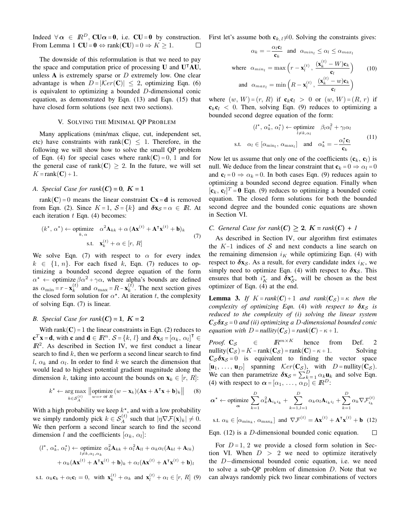Indeed  $\forall \alpha \in \mathbb{R}^D$ , CU $\alpha = 0$ , i.e. CU = 0 by construction. From Lemma 1  $CU = 0 \Leftrightarrow \text{rank}(CU) = 0 \Rightarrow K \ge 1$ . П

The downside of this reformulation is that we need to pay the space and computation price of processing  $U$  and  $U^{\dagger}AU$ , unless  $A$  is extremely sparse or  $D$  extremely low. One clear advantage is when  $D = |\mathcal{K}er(C)| \leq 2$ , optimizing Eqn. (6) is equivalent to optimizing a bounded D-dimensional conic equation, as demonstrated by Eqn. (13) and Eqn. (15) that have closed form solutions (see next two sections).

### V. SOLVING THE MINIMAL QP PROBLEM

Many applications (min/max clique, cut, independent set, etc) have constraints with rank(C)  $\leq$  1. Therefore, in the following we will show how to solve the small QP problem of Eqn. (4) for special cases where rank $(C) = 0$ , 1 and for the general case of rank(C)  $\geq$  2. In the future, we will set  $K = \text{rank}(\mathbf{C}) + 1.$ 

## *A. Special Case for rank* $(C) = 0$ ,  $K = 1$

rank(C) = 0 means the linear constraint  $Cx = d$  is removed from Eqn. (2). Since  $K = 1$ ,  $S = \{k\}$  and  $\delta x_S = \alpha \in \mathbb{R}$ . At each iteration  $t$  Eqn. (4) becomes:

$$
(k^{\star}, \alpha^{\star}) \leftarrow \text{ optimize} \quad \alpha^2 \mathbf{A}_{kk} + \alpha \left( \mathbf{A} \mathbf{x}^{(t)} + \mathbf{A}^{\mathsf{T}} \mathbf{x}^{(t)} + \mathbf{b} \right)_{k}
$$
  
s.t. 
$$
\mathbf{x}_{k}^{(t)} + \alpha \in [r, R]
$$
 (7)

We solve Eqn. (7) with respect to  $\alpha$  for every index  $k \in \{1, n\}$ . For each fixed k, Eqn. (7) reduces to optimizing a bounded second degree equation of the form  $\alpha^* \leftarrow$  optimize  $\beta \alpha^2 + \gamma \alpha$ , where alpha's bounds are defined as  $\alpha_{\min} = r - \mathbf{x}_k^{(t)}$  $\binom{t}{k}$  and  $\alpha_{\text{max}} = R - \mathbf{x}_k^{(t)}$  $k^{(t)}$ . The next section gives the closed form solution for  $\alpha^*$ . At iteration t, the complexity of solving Eqn. (7) is linear.

# *B. Special Case for rank*( $C$ ) = 1*,*  $K = 2$

With rank $(C) = 1$  the linear constraints in Eqn. (2) reduces to  $\mathbf{c}^T \mathbf{x} = \mathbf{d}$ , with  $\mathbf{c}$  and  $\mathbf{d} \in \mathbb{R}^n$ .  $\mathcal{S} = \{k, l\}$  and  $\delta \mathbf{x}_{\mathcal{S}} = [\alpha_k, \alpha_l]^T \in$  $I\!\!R^2$ . As described in Section IV, we first conduct a linear search to find  $k$ , then we perform a second linear search to find l,  $\alpha_k$  and  $\alpha_l$ . In order to find k we search the dimension that would lead to highest potential gradient magnitude along the dimension k, taking into account the bounds on  $\mathbf{x}_k \in [r, R]$ :

$$
k^* \leftarrow \underset{k \in \mathcal{S}_A^{(t)}}{\arg \max} \left\| \underset{w=r \text{ or } R}{\text{optimize}} (w - \mathbf{x}_k)(\mathbf{A}\mathbf{x} + \mathbf{A}^\mathsf{T}\mathbf{x} + \mathbf{b})_k \right\| \quad (8)
$$

With a high probability we keep  $k^*$ , and with a low probability we simply randomly pick  $k \in S_A^{(t)}$  such that  $|\eta \nabla \mathcal{F}(\mathbf{x})_k| \neq 0$ . We then perform a second linear search to find the second dimension l and the coefficients  $[\alpha_k, \alpha_l]$ :

$$
(l^*, \alpha_k^*, \alpha_l^*) \leftarrow \text{ optimize } \alpha_k^2 \mathbf{A}_{kk} + \alpha_l^2 \mathbf{A}_{ll} + \alpha_k \alpha_l (\mathbf{A}_{kl} + \mathbf{A}_{lk})
$$

$$
+ \alpha_k (\mathbf{A} \mathbf{x}^{(t)} + \mathbf{A}^\mathsf{T} \mathbf{x}^{(t)} + \mathbf{b})_k + \alpha_l (\mathbf{A} \mathbf{x}^{(t)} + \mathbf{A}^\mathsf{T} \mathbf{x}^{(t)} + \mathbf{b})_l
$$

s.t.  $\alpha_k \mathbf{c}_k + \alpha_l \mathbf{c}_l = 0$ , with  $\mathbf{x}_k^{(t)} + \alpha_k$  and  $\mathbf{x}_l^{(t)} + \alpha_l \in [r, R]$  (9)

First let's assume both  $c_{k,l}\neq 0$ . Solving the constraints gives:

$$
\alpha_k = -\frac{\alpha_l \mathbf{c}_l}{\mathbf{c}_k} \text{ and } \alpha_{min_l} \le \alpha_l \le \alpha_{max_l}
$$
  
where  $\alpha_{min_l} = \max\left(r - \mathbf{x}_l^{(t)}, \frac{(\mathbf{x}_k^{(t)} - W)\mathbf{c}_k}{\mathbf{c}_l}\right)$  (10)  
and  $\alpha_{max_l} = \min\left(R - \mathbf{x}_l^{(t)}, \frac{(\mathbf{x}_k^{(t)} - w)\mathbf{c}_k}{\mathbf{c}_l}\right)$ 

where  $(w, W) = (r, R)$  if  $c_k c_l > 0$  or  $(w, W) = (R, r)$  if  $c_k c_l$  < 0. Then, solving Eqn. (9) reduces to optimizing a bounded second degree equation of the form:

$$
(l^{\star}, \alpha_k^{\star}, \alpha_l^{\star}) \leftarrow \underset{l \neq k, \alpha_l}{\text{ optimize}} \quad \beta_l \alpha_l^2 + \gamma_l \alpha_l
$$
\ns.t.  $\alpha_l \in [\alpha_{\min_l}, \alpha_{\max_l}]$  and  $\alpha_k^{\star} = -\frac{\alpha_l^{\star} \mathbf{c}_l}{\mathbf{c}_k}$  (11)

Now let us assume that only one of the coefficients  $(c_k, c_l)$  is null. We deduce from the linear constraint that  ${\bf c}_k = 0 \Rightarrow \alpha_l = 0$ and  $c_1 = 0 \Rightarrow \alpha_k = 0$ . In both cases Eqn. (9) reduces again to optimizing a bounded second degree equation. Finally when  $[\mathbf{c}_k, \mathbf{c}_l]^T = \mathbf{0}$  Eqn. (9) reduces to optimizing a bounded conic equation. The closed form solutions for both the bounded second degree and the bounded conic equations are shown in Section VI.

# *C. General Case for rank*( $C$ ) > 2*,*  $K = rank(C) + 1$

As described in Section IV, our algorithm first estimates the  $K-1$  indices of S and next conducts a line search on the remaining dimension  $i_K$  while optimizing Eqn. (4) with respect to  $\delta x_{\mathcal{S}}$ . As a result, for every candidate index  $i_K$ , we simply need to optimize Eqn. (4) with respect to  $\delta x_S$ . This ensures that both  $i_K^*$  and  $\delta x_{S^*}^*$  will be chosen as the best optimizer of Eqn. (4) at the end.

**Lemma 3.** *If*  $K = rank(C) + 1$  *and rank* $(C_S) = \kappa$  *then the complexity of optimizing Eqn.* (4) with respect to  $\delta x_S$  is *reduced to the complexity of (i) solving the linear system*  $C_{\mathcal{S}}\delta x_{\mathcal{S}} = 0$  *and (ii) optimizing a D-dimensional bounded conic equation with*  $D = nullity(C_{S}) = rank(C) - \kappa + 1$ .

*Proof.*  $C_S$  ∈  $\mathbb{R}^{m \times K}$  hence from Def. 2 nullity( $C_S$ ) = K – rank( $C_S$ ) = rank( $C$ ) –  $\kappa$  + 1. Solving  $C_{\mathcal{S}} \delta x_{\mathcal{S}} = 0$  is equivalent to finding the vector space  $[\mathbf{u}_1, \ldots, \mathbf{u}_D]$  spanning  $\mathcal{K}er(\mathbf{C}_{\mathcal{S}})$ , with  $D = \text{nullity}(\mathbf{C}_{\mathcal{S}})$ . We can then parametrize  $\delta x_{\mathcal{S}} = \sum_{k=1}^{D} \alpha_k u_k$  and solve Eqn. (4) with respect to  $\alpha = [\alpha_1, \ldots, \alpha_D] \in \mathbb{R}^D$ :

$$
\boldsymbol{\alpha}^* \leftarrow \text{ optimize} \sum_{k=1}^{D} \alpha_k^2 \mathbf{A}_{i_k i_k} + \sum_{k=1,l=1}^{D} \alpha_k \alpha_l \mathbf{A}_{i_k i_l} + \sum_{k=1}^{D} \alpha_k \nabla \mathcal{F}_{i_k}^{(t)}
$$

s.t.  $\alpha_k \in [\alpha_{\min_k}, \alpha_{\max_k}]$  and  $\nabla \mathcal{F}^{(t)} = \mathbf{A} \mathbf{x}^{(t)} + \mathbf{A}^{\mathsf{T}} \mathbf{x}^{(t)} + \mathbf{b}$  (12)

Eqn. (12) is a D-dimensional bounded conic equation. П

For  $D=1$ , 2 we provide a closed form solution in Section VI. When  $D > 2$  we need to optimize iteratively the D−dimensional bounded conic equation, i.e. we need to solve a sub-OP problem of dimension  $D$ . Note that we can always randomly pick two linear combinations of vectors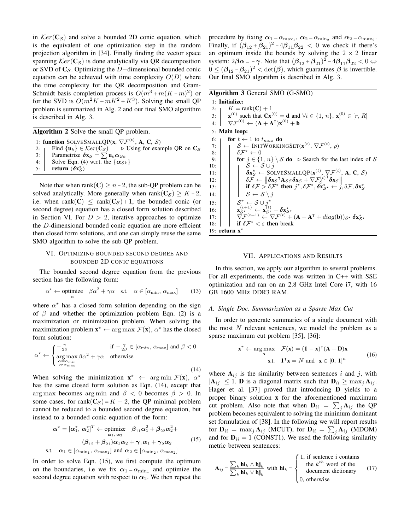in  $Ker(C<sub>S</sub>)$  and solve a bounded 2D conic equation, which is the equivalent of one optimization step in the random projection algorithm in [34]. Finally finding the vector space spanning  $Ker(C<sub>S</sub>)$  is done analytically via QR decomposition or SVD of  $C_S$ . Optimizing the D–dimensional bounded conic equation can be achieved with time complexity  $O(D)$  where the time complexity for the QR decomposition and Gram-Schmidt basis completion process is  $O(m^3 + m(K-m)^2)$  or for the SVD is  $O(m^2K + mK^2 + K^3)$ . Solving the small QP problem is summarized in Alg. 2 and our final SMO algorithm is described in Alg. 3.

Algorithm 2 Solve the small QP problem.

1: function SOLVESMALLQP(x,  $\nabla \mathcal{F}^{(t)}$ , A, C, S) 2: Find  $\{u_k\} \in \mathcal{K}er(C_{\mathcal{S}})$   $\Rightarrow$  Using for example QR on  $C_{\mathcal{S}}$ 3: Parametrize  $\delta x_{\mathcal{S}} = \sum u_k \alpha_{\mathcal{S}k}$ 

4: Solve Eqn. (4) w.r.t. the  $\{\alpha_{\mathcal{S}_k}\}\$ 

5:  $\mathbf{return} (\delta \mathbf{x}_{\mathcal{S}}^{\star})$ 

Note that when rank( $C$ )  $\geq n-2$ , the sub-QP problem can be solved analytically. More generally when rank( $C_{\mathcal{S}}$ ) ≥ K – 2, i.e. when rank $(C) \le$  rank $(C_S) + 1$ , the bounded conic (or second degree) equation has a closed form solution described in Section VI. For  $D > 2$ , iterative approaches to optimize the D-dimensional bounded conic equation are more efficient then closed form solutions, and one can simply reuse the same SMO algorithm to solve the sub-QP problem.

# VI. OPTIMIZING BOUNDED SECOND DEGREE AND BOUNDED 2D CONIC EQUATIONS

The bounded second degree equation from the previous section has the following form:

$$
\alpha^* \leftarrow \text{optimize} \quad \beta \alpha^2 + \gamma \alpha \quad \text{s.t.} \quad \alpha \in [\alpha_{\min}, \, \alpha_{\max}] \tag{13}
$$

where  $\alpha^*$  has a closed form solution depending on the sign of  $\beta$  and whether the optimization problem Eqn. (2) is a maximization or minimization problem. When solving the maximization problem  $\mathbf{x}^* \leftarrow \arg \max \mathcal{F}(\mathbf{x})$ ,  $\alpha^*$  has the closed form solution:

$$
\alpha^* \leftarrow \begin{cases}\n-\frac{\gamma}{2\beta} & \text{if } -\frac{\gamma}{2\beta} \in [\alpha_{\min}, \alpha_{\max}] \text{ and } \beta < 0 \\
\underset{\alpha = \alpha_{\min}}{\arg \max} \beta \alpha^2 + \gamma \alpha & \text{otherwise} \\
\alpha \alpha_{\max} & (14)\n\end{cases}
$$

When solving the minimization  $\mathbf{x}^* \leftarrow \arg \min \mathcal{F}(\mathbf{x})$ ,  $\alpha^*$ has the same closed form solution as Eqn. (14), except that arg max becomes arg min and  $\beta < 0$  becomes  $\beta > 0$ . In some cases, for rank $(C<sub>S</sub>) = K - 2$ , the QP minimal problem cannot be reduced to a bounded second degree equation, but instead to a bounded conic equation of the form:

$$
\alpha^* = [\alpha_1^*, \alpha_2^*]^T \leftarrow \text{ optimize} \quad \beta_{11}\alpha_1^2 + \beta_{22}\alpha_2^2 +
$$

$$
(\beta_{12} + \beta_{21})\alpha_1\alpha_2 + \gamma_1\alpha_1 + \gamma_2\alpha_2
$$

$$
\text{s.t.} \quad \alpha_1 \in [\alpha_{\min_1}, \alpha_{\max_1}] \text{ and } \alpha_2 \in [\alpha_{\min_2}, \alpha_{\max_2}]
$$

$$
(15)
$$

In order to solve Eqn. (15), we first compute the optimum on the boundaries, i.e we fix  $\alpha_1 = \alpha_{\min_1}$  and optimize the second degree equation with respect to  $\alpha_2$ . We then repeat the procedure by fixing  $\alpha_1 = \alpha_{\text{max}_1}$ ,  $\alpha_2 = \alpha_{\text{min}_2}$  and  $\alpha_2 = \alpha_{\text{max}_2}$ . Finally, if  $(\beta_{12} + \beta_{21})^2 - 4\beta_{11}\beta_{22} < 0$  we check if there's an optimum inside the bounds by solving the  $2 \times 2$  linear system:  $2\beta\alpha = -\gamma$ . Note that  $(\beta_{12} + \beta_{21})^2 - 4\beta_{11}\beta_{22} < 0 \Leftrightarrow$  $0 \leq (\beta_{12} - \beta_{21})^2 < \det(\beta)$ , which guarantees  $\beta$  is invertible. Our final SMO algorithm is described in Alg. 3.

| Algorithm 3 General SMO (G-SMO) |  |  |  |  |
|---------------------------------|--|--|--|--|
|---------------------------------|--|--|--|--|

1: Initialize: 2:  $K = \text{rank}(\mathbf{C}) + 1$  $3:$ (0) such that  $Cx^{(0)} = d$  and  $\forall i \in \{1, n\}, x_i^{(0)} \in [r, R]$ 4:  $\nabla \mathcal{F}^{(0)} \leftarrow (\mathbf{A} + \mathbf{A}^{\mathsf{T}}) \mathbf{x}^{(0)} + \mathbf{b}$ 5: Main loop: 6:  $\vert$  for  $t \leftarrow 1$  to  $t_{max}$  do 7:  $\begin{array}{cc} \mid & \mathcal{S} \leftarrow \text{INITWORKINGSET}(\mathbf{x}^{(t)}, \, \nabla \mathcal{F}^{(t)}, \, \rho) \end{array}$ 8:  $\begin{array}{c} \n\end{array}$   $\delta \mathcal{F}^* \leftarrow 0$ 9: **for**  $j \in \{1, n\} \setminus S$  **do**  $\triangleright$  Search for the last index of S 10: <br>10:  $\downarrow$   $S \leftarrow S \cup j$  $S \leftarrow S \cup j$ 11:  $\delta x_{\mathcal{S}}^* \leftarrow$  SOLVESMALLQP( $\mathbf{x}^{(t)}, \nabla \mathcal{F}^{(t)}$ , **A**, **C**, *S*) 12:  $\delta \vec{F} \leftarrow \begin{bmatrix} \delta x_S^T \mathbf{A} s_S \delta x_S + \nabla \vec{F}_S^{(t)} \end{bmatrix}$ 12:<br>
13:  $\begin{vmatrix}\n\delta \mathcal{F} \leftarrow & \delta \mathbf{x}_{S}^T \mathbf{A}_{SS} \delta \mathbf{x}_{S} + \nabla \mathcal{F}_{S}^{(i)} \delta \mathbf{x}_{S} \\
\delta \mathcal{F} \leftarrow & \delta \mathbf{x}_{S}^T \mathbf{A}_{SS} \delta \mathbf{x}_{S} + \nabla \mathcal{F}_{S}^{(i)} \delta \mathbf{x}_{S} \\
\text{if } \delta \mathcal{F} > \delta \mathcal{F}^* \text{ then } j^*, \delta \mathcal{F}^*, \delta \mathbf{x}_{S^*}^* \leftarrow j, \delta \mathcal{F}, \delta$ 14:  $|\;\;| \;\; | \;\; \mathcal{S} \leftarrow \mathcal{S} \setminus j$  $15:$  $\star$  ←  $S \cup j^*$  $16:$ 16:  $\begin{array}{|c|c|c|}\n\hline\n & x_{\mathcal{S}^{\star}}^{(t+1)} \leftarrow \mathbf{x}_{\mathcal{S}^{\star}}^{(t)} + \delta \mathbf{x}_{\mathcal{S}^{\star}}^{\star} \\
\hline\n17: & \nabla \mathcal{F}^{(t+1)} \leftarrow \nabla \mathcal{F}^{(t)} + (\mathbf{A} + \mathbf{A}^{\mathsf{T}} + diag(\mathbf{b}))_{\mathcal{S}^{\star}} \, \delta \mathbf{x}_{\mathcal{S}^{\star}}^{\star}\n\end{array}$ 18:  $\left| \right|$  if  $\delta \mathcal{F}^* < \varepsilon$  then break 19: return  $x^*$ 

#### VII. APPLICATIONS AND RESULTS

In this section, we apply our algorithm to several problems. For all experiments, the code was written in C++ with SSE optimization and ran on an 2.8 GHz Intel Core i7, with 16 GB 1600 MHz DDR3 RAM.

#### *A. Single Doc. Summarization as a Sparse Max Cut*

In order to generate summaries of a single document with the most  $N$  relevant sentences, we model the problem as a sparse maximum cut problem [35], [36]:

$$
\mathbf{x}^* \leftarrow \underset{\mathbf{x}}{\arg \max} \quad \mathcal{F}(\mathbf{x}) = (\mathbf{1} - \mathbf{x})^{\mathsf{T}} (\mathbf{A} - \mathbf{D}) \mathbf{x}
$$
  
s.t. 
$$
\mathbf{1}^{\mathsf{T}} \mathbf{x} = N \text{ and } \mathbf{x} \in [0, 1]^n
$$
 (16)

where  $A_{ij}$  is the similarity between sentences i and j, with  $|\mathbf{A}_{ij}| \leq 1$ . **D** is a diagonal matrix such that  $\mathbf{D}_{ii} \geq \max_j \mathbf{A}_{ij}$ . Hager et al. [37] proved that introducing D yields to a proper binary solution x for the aforementioned maximum cut problem. Also note that when  ${\bf D}_{ii} = \sum_j {\bf A}_{ij}$  the QP problem becomes equivalent to solving the minimum dominant set formulation of [38]. In the following we will report results for  $\mathbf{D}_{ii}$  =  $\max_{j} \mathbf{A}_{ij}$  (MCUT), for  $\mathbf{D}_{ii}$  =  $\sum_{j} \mathbf{A}_{ij}$  (MDOM) and for  $D_{ii} = 1$  (CONST1). We used the following similarity metric between sentences:

$$
\mathbf{A}_{ij} = \frac{\sum_{k} \mathbf{hi}_{k} \wedge \mathbf{h} \mathbf{j}_{k}}{\sum_{k} \mathbf{hi}_{k} \vee \mathbf{h} \mathbf{j}_{k}} \text{ with } \mathbf{hi}_{k} = \begin{cases} 1, & \text{if sentence } i \text{ contains} \\ & \text{the } k^{th} \text{ word of the} \\ & \text{document dictionary} \\ 0, & \text{otherwise} \end{cases} \tag{17}
$$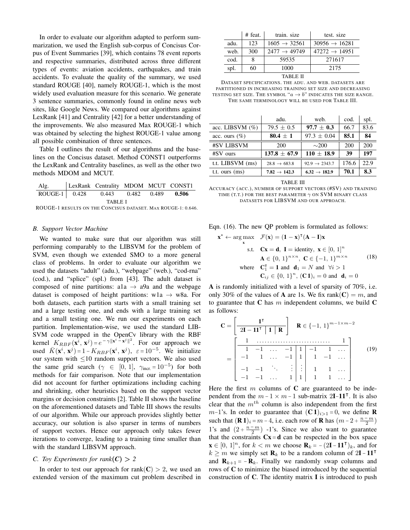In order to evaluate our algorithm adapted to perform summarization, we used the English sub-corpus of Concisus Corpus of Event Summaries [39], which contains 78 event reports and respective summaries, distributed across three different types of events: aviation accidents, earthquakes, and train accidents. To evaluate the quality of the summary, we used standard ROUGE [40], namely ROUGE-1, which is the most widely used evaluation measure for this scenario. We generate 3 sentence summaries, commonly found in online news web sites, like Google News. We compared our algorithms against LexRank [41] and Centrality [42] for a better understanding of the improvements. We also measured Max ROUGE-1 which was obtained by selecting the highest ROUGE-1 value among all possible combination of three sentences.

Table I outlines the result of our algorithms and the baselines on the Concisus dataset. Method CONST1 outperforms the LexRank and Centrality baselines, as well as the other two methods MDOM and MCUT.

| Alg.                                                         |  | LexRank Centrality MDOM MCUT CONST1 |  |  |  |  |  |
|--------------------------------------------------------------|--|-------------------------------------|--|--|--|--|--|
| ROUGE-1 0.428 0.443 0.482 0.489 0.506                        |  |                                     |  |  |  |  |  |
| TABLE I                                                      |  |                                     |  |  |  |  |  |
| ROUGE-1 RESULTS ON THE CONCISUS DATASET. MAX ROUGE-1: 0.646. |  |                                     |  |  |  |  |  |

#### *B. Support Vector Machine*

We wanted to make sure that our algorithm was still performing comparably to the LIBSVM for the problem of SVM, even though we extended SMO to a more general class of problems. In order to evaluate our algorithm we used the datasets "adult" (adu.), "webpage" (web.), "cod-rna" (cod.), and "splice" (spl.) from [43]. The adult dataset is composed of nine partitions: a1a  $\rightarrow$  a9a and the webpage dataset is composed of height partitions: w1a  $\rightarrow$  w8a. For both datasets, each partition starts with a small training set and a large testing one, and ends with a large training set and a small testing one. We run our experiments on each partition. Implementation-wise, we used the standard LIB-SVM code wrapped in the OpenCv library with the RBF kernel  $K_{RBF}(\mathbf{x}^i, \mathbf{x}^j) = e^{-\gamma ||\mathbf{x}^i - \mathbf{x}^j||^2}$ . For our approach we used  $\bar{K}(\mathbf{x}^i, \mathbf{x}^j) = 1 - K_{RBF}(\mathbf{x}^i, \mathbf{x}^j), \ \varepsilon = 10^{-5}$ . We initialize our system with  $\leq$ 10 random support vectors. We also used the same grid search ( $\gamma \in [0, 1]$ ,  $\gamma_{\text{incr.}} = 10^{-5}$ ) for both methods for fair comparison. Note that our implementation did not account for further optimizations including caching and shrinking, other heuristics based on the support vector margins or decision constraints [2]. Table II shows the baseline on the aforementioned datasets and Table III shows the results of our algorithm. While our approach provides slightly better accuracy, our solution is also sparser in terms of numbers of support vectors. Hence our approach only takes fewer iterations to converge, leading to a training time smaller than with the standard LIBSVM approach.

# *C. Toy Experiments for rank*( $C$ ) > 2

In order to test our approach for rank(C) > 2, we used an extended version of the maximum cut problem described in

|                  | $#$ feat. | train, size              | test. size                |  |  |
|------------------|-----------|--------------------------|---------------------------|--|--|
| adu.             | 123       | $1605 \rightarrow 32561$ | $30956 \rightarrow 16281$ |  |  |
| web.             | 300       | $2477 \rightarrow 49749$ | $47272 \rightarrow 14951$ |  |  |
| cod.             |           | 59535                    | 271617                    |  |  |
| spl.             | 60        | 1000                     | 2175                      |  |  |
| <b>THANT PIT</b> |           |                          |                           |  |  |

| TABLE II |  |
|----------|--|
|----------|--|

| DATASET SPECIFICATIONS. THE ADU. AND WEB. DATASETS ARE                        |
|-------------------------------------------------------------------------------|
| PARTITIONED IN INCREASING TRAINING SET SIZE AND DECREASING                    |
| testing set size. The symbol, " $a \rightarrow b$ " indicates the size range. |
| THE SAME TERMINOLOGY WILL BE USED FOR TABLE III.                              |

|                    | adu.                     | web.                      | cod.  | spl. |
|--------------------|--------------------------|---------------------------|-------|------|
| acc. LIBSVM $(\%)$ | $79.5 \pm 0.5$           | $97.7 + 0.3$              | 66.7  | 83.6 |
| acc. ours $(\%)$   | $80.4 \pm 1$             | $97.3 + 0.04$             | 85.1  | 84   |
| #SV LIBSVM         | 200                      | $\sim$ 200                | 200   | 200  |
| $#SV$ ours         | $137.8 + 67.9$           | $110 + 18.9$              | 39    | 197  |
| t.t. LIBSVM (ms)   | $28.8 \rightarrow 683.8$ | $92.9 \rightarrow 2343.7$ | 176.6 | 22.9 |
| t.t. ours (ms)     | $7.82 \rightarrow 142.3$ | $6.32 \rightarrow 182.9$  | 70.1  | 8.3  |

TABLE III

ACCURACY (ACC.), NUMBER OF SUPPORT VECTORS (#SV) AND TRAINING TIME (T.T.) FOR THE BEST PARAMETER  $\gamma$  ON SVM BINARY CLASS DATASETS FOR LIBSVM AND OUR APPROACH.

Eqn. (16). The new QP problem is formulated as follows:

$$
\mathbf{x}^* \leftarrow \arg \max_{\mathbf{x}} \quad \mathcal{F}(\mathbf{x}) = (\mathbf{1} - \mathbf{x})^{\mathsf{T}} (\mathbf{A} - \mathbf{I}) \mathbf{x}
$$
  
s.t. 
$$
\mathbf{C}\mathbf{x} = \mathbf{d}, \ \mathbf{I} = \text{identity}, \ \mathbf{x} \in [0, 1]^n
$$

$$
\mathbf{A} \in \{0, 1\}^{n \times n}, \ \mathbf{C} \in \{-1, 1\}^{m \times n} \quad (18)
$$
  
where 
$$
\mathbf{C}_1^{\mathsf{T}} = \mathbf{1} \text{ and } \mathbf{d}_1 = N \text{ and } \forall i > 1
$$

$$
\mathbf{C}_{ij} \in \{0, 1\}^n, (\mathbf{C}\mathbf{1})_i = 0 \text{ and } \mathbf{d}_i = 0
$$

A is randomly initialized with a level of sparsity of 70%, i.e. only 30% of the values of **A** are 1s. We fix rank( $C$ ) = m, and to guarantee that  $C$  has  $m$  independent columns, we build  $C$ as follows:

C = " 1 | 2I − 11<sup>|</sup> 1 R # R ∈ {−1, 1} m−1×m−2 = 1 . . . . . . . . . . . . . . . . . . . . . . . . . . . . 1 1 −1 . . . −1 1 −1 1 . . . −1 1 . . . −1 1 1 −1 . . . −1 −1 . . . . . . . . . 1 1 . . . −1 −1 . . . 1 1 1 1 . . . (19)

Here the first  $m$  columns of C are guaranteed to be independent from the  $m - 1 \times m - 1$  sub-matrix 2I-11<sup>T</sup>. It is also clear that the  $m<sup>th</sup>$  column is also independent from the first m−1's. In order to guarantee that  $({\bf C} {\bf 1})_{i>1} = 0$ , we define **R** such that  $(\mathbf{R} \mathbf{1})_i = m - 4$ , i.e. each row of  $\mathbf{R}$  has  $(m - 2 + \frac{n - m}{2})$ 1's and  $(2 + \frac{n-m}{2})$  -1's. Since we also want to guarantee that the constraints  $Cx = d$  can be respected in the box space  $\mathbf{x} \in [0, 1]^n$ , for  $k < m$  we choose  $\mathbf{R}_k = -\left(2\mathbf{I} - \mathbf{1}\mathbf{1}^\mathsf{T}\right)_k$ , and for  $k \geq m$  we simply set  $\mathbf{R}_k$  to be a random column of 2I – 11<sup>T</sup> and  $\mathbf{R}_{k+1}$  =  $-\mathbf{R}_k$ . Finally we randomly swap columns and rows of C to minimize the biased introduced by the sequential construction of C. The identity matrix I is introduced to push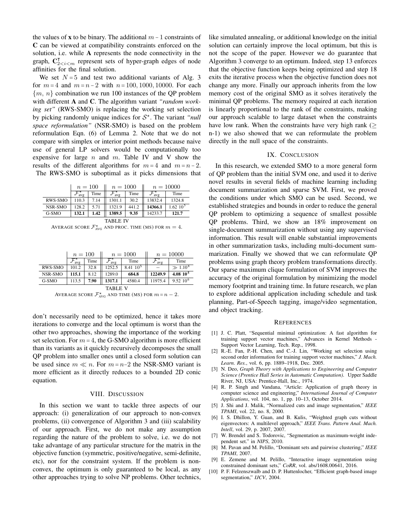the values of x to be binary. The additional  $m - 1$  constraints of C can be viewed at compatibility constraints enforced on the solution, i.e. while A represents the node connectivity in the graph,  $C_{2\leq i\leq m}^{T}$  represent sets of hyper-graph edges of node affinities for the final solution.

We set  $N = 5$  and test two additional variants of Alg. 3 for  $m = 4$  and  $m = n - 2$  with  $n = 100, 1000, 10000$ . For each  ${m, n}$  combination we run 100 instances of the OP problem with different A and C. The algorithm variant *"random working set"* (RWS-SMO) is replacing the working set selection by picking randomly unique indices for  $S^*$ . The variant *"null space reformulation"* (NSR-SMO) is based on the problem reformulation Eqn. (6) of Lemma 2. Note that we do not compare with simplex or interior point methods because naive use of general LP solvers would be computationally too expensive for large  $n$  and  $m$ . Table IV and V show the results of the different algorithms for  $m = 4$  and  $m = n - 2$ . The RWS-SMO is suboptimal as it picks dimensions that

|                 | $n = 100$ |      | $n = 1000$   |       | $n = 10000$ |                |  |
|-----------------|-----------|------|--------------|-------|-------------|----------------|--|
|                 | avg       | Time | $7a\sqrt{g}$ | Time  | avg         | Time           |  |
| RWS-SMO         | 110.3     | 7.14 | 1301.1       | 30.2  | 13832.4     | 1324.8         |  |
| NSR-SMO         | 128.2     | 5.71 | 1321.9       | 441.2 | 14366.1     | $1.62 \; 10^5$ |  |
| G-SMO           | 132.1     | 1.42 | 1389.5       | 9.35  | 14233.7     | 121.7          |  |
| <b>TABLE IV</b> |           |      |              |       |             |                |  |

AVERAGE SCORE  $\mathcal{F}^{\star}_{\text{\tiny{AVG}}}$  and proc. Time (MS) for  $m=4$ .

|                | $n=100$ |      | $n = 1000$ |               | $n = 10000$ |              |
|----------------|---------|------|------------|---------------|-------------|--------------|
|                | avg     | Time | avg        | Time          | avg         | Time         |
| <b>RWS-SMO</b> | 101.2   | 32.8 | 1252.5     | $8.41~10^{5}$ |             | $\gg 1.10^8$ |
| NSR-SMO        | 115.1   | 8.12 | 1289.0     | 684.8         | 12249.9     | $4.0810^{5}$ |
| G-SMO          | 113.5   | 7.90 | 1317.1     | 4580.4        | 11975.4     | $9.52~10^6$  |
| <b>TABLE V</b> |         |      |            |               |             |              |

AVERAGE SCORE  $\mathcal{F}_{\text{AVG}}^{\star}$  and time (MS) for  $m = n - 2$ .

don't necessarily need to be optimized, hence it takes more iterations to converge and the local optimum is worst than the other two approaches, showing the importance of the working set selection. For  $m = 4$ , the G-SMO algorithm is more efficient than its variants as it quickly recursively decomposes the small QP problem into smaller ones until a closed form solution can be used since  $m \ll n$ . For  $m = n-2$  the NSR-SMO variant is more efficient as it directly reduces to a bounded 2D conic equation.

#### VIII. DISCUSSION

In this section we want to tackle three aspects of our approach: (i) generalization of our approach to non-convex problems, (ii) convergence of Algorithm 3 and (iii) scalability of our approach. First, we do not make any assumption regarding the nature of the problem to solve, i.e. we do not take advantage of any particular structure for the matrix in the objective function (symmetric, positive/negative, semi-definite, etc), nor for the constraint system. If the problem is nonconvex, the optimum is only guaranteed to be local, as any other approaches trying to solve NP problems. Other technics, like simulated annealing, or additional knowledge on the initial solution can certainly improve the local optimum, but this is not the scope of the paper. However we do guarantee that Algorithm 3 converge to an optimum. Indeed, step 13 enforces that the objective function keeps being optimized and step 18 exits the iterative process when the objective function does not change any more. Finally our approach inherits from the low memory cost of the original SMO as it solves iteratively the minimal QP problems. The memory required at each iteration is linearly proportional to the rank of the constraints, making our approach scalable to large dataset when the constraints have low rank. When the constraints have very high rank ( $\geq$ n-1) we also showed that we can reformulate the problem directly in the null space of the constraints.

#### IX. CONCLUSION

In this research, we extended SMO to a more general form of QP problem than the initial SVM one, and used it to derive novel results in several fields of machine learning including document summarization and sparse SVM. First, we proved the conditions under which SMO can be used. Second, we established strategies and bounds in order to reduce the general QP problem to optimizing a sequence of smallest possible QP problems. Third, we show an 18% improvement on single-document summarization without using any supervised information. This result will enable substantial improvements in other summarization tasks, including multi-document summarization. Finally we showed that we can reformulate QP problems using graph theory problem transformations directly. Our sparse maximum clique formulation of SVM improves the accuracy of the original formulation by minimizing the model memory footprint and training time. In future research, we plan to explore additional application including schedule and task planning, Part-of-Speech tagging, image/video segmentation, and object tracking.

#### **REFERENCES**

- [1] J. C. Platt, "Sequential minimal optimization: A fast algorithm for training support vector machines," Advances in Kernel Methods - Support Vector Learning, Tech. Rep., 1998.
- [2] R.-E. Fan, P.-H. Chen, and C.-J. Lin, "Working set selection using second order information for training support vector machines," *J. Mach. Learn. Res.*, vol. 6, pp. 1889–1918, Dec. 2005.
- [3] N. Deo, *Graph Theory with Applications to Engineering and Computer Science (Prentice Hall Series in Automatic Computation)*. Upper Saddle River, NJ, USA: Prentice-Hall, Inc., 1974.
- [4] R. P. Singh and Vandana, "Article: Application of graph theory in computer science and engineering," *International Journal of Computer Applications*, vol. 104, no. 1, pp. 10–13, October 2014.
- [5] J. Shi and J. Malik, "Normalized cuts and image segmentation," *IEEE TPAMI*, vol. 22, no. 8, 2000.
- [6] I. S. Dhillon, Y. Guan, and B. Kulis, "Weighted graph cuts without eigenvectors: A multilevel approach," *IEEE Trans. Pattern Anal. Mach. Intell*, vol. 29, p. 2007, 2007.
- [7] W. Brendel and S. Todorovic, "Segmentation as maximum-weight independent set." in *NIPS*, 2010.
- [8] M. Pavan and M. Pelillo, "Dominant sets and pairwise clustering," *IEEE TPAMI*, 2007.
- [9] E. Zemene and M. Pelillo, "Interactive image segmentation using constrained dominant sets," *CoRR*, vol. abs/1608.00641, 2016.
- [10] P. F. Felzenszwalb and D. P. Huttenlocher, "Efficient graph-based image segmentation," *IJCV*, 2004.